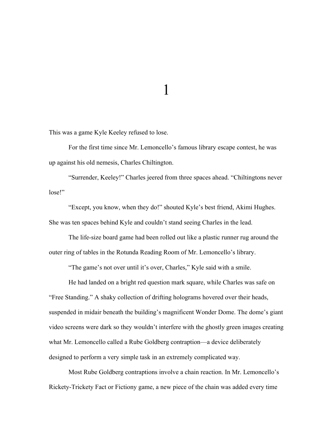1

This was a game Kyle Keeley refused to lose.

For the first time since Mr. Lemoncello's famous library escape contest, he was up against his old nemesis, Charles Chiltington.

"Surrender, Keeley!" Charles jeered from three spaces ahead. "Chiltingtons never lose!"

"Except, you know, when they do!" shouted Kyle's best friend, Akimi Hughes. She was ten spaces behind Kyle and couldn't stand seeing Charles in the lead.

The life-size board game had been rolled out like a plastic runner rug around the outer ring of tables in the Rotunda Reading Room of Mr. Lemoncello's library.

"The game's not over until it's over, Charles," Kyle said with a smile.

He had landed on a bright red question mark square, while Charles was safe on "Free Standing." A shaky collection of drifting holograms hovered over their heads, suspended in midair beneath the building's magnificent Wonder Dome. The dome's giant video screens were dark so they wouldn't interfere with the ghostly green images creating what Mr. Lemoncello called a Rube Goldberg contraption—a device deliberately designed to perform a very simple task in an extremely complicated way.

Most Rube Goldberg contraptions involve a chain reaction. In Mr. Lemoncello's Rickety-Trickety Fact or Fictiony game, a new piece of the chain was added every time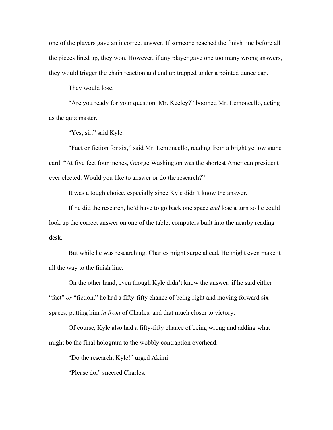one of the players gave an incorrect answer. If someone reached the finish line before all the pieces lined up, they won. However, if any player gave one too many wrong answers, they would trigger the chain reaction and end up trapped under a pointed dunce cap.

They would lose.

"Are you ready for your question, Mr. Keeley?" boomed Mr. Lemoncello, acting as the quiz master.

"Yes, sir," said Kyle.

"Fact or fiction for six," said Mr. Lemoncello, reading from a bright yellow game card. "At five feet four inches, George Washington was the shortest American president ever elected. Would you like to answer or do the research?"

It was a tough choice, especially since Kyle didn't know the answer.

If he did the research, he'd have to go back one space *and* lose a turn so he could look up the correct answer on one of the tablet computers built into the nearby reading desk.

But while he was researching, Charles might surge ahead. He might even make it all the way to the finish line.

On the other hand, even though Kyle didn't know the answer, if he said either "fact" *or* "fiction," he had a fifty-fifty chance of being right and moving forward six spaces, putting him *in front* of Charles, and that much closer to victory.

Of course, Kyle also had a fifty-fifty chance of being wrong and adding what might be the final hologram to the wobbly contraption overhead.

"Do the research, Kyle!" urged Akimi.

"Please do," sneered Charles.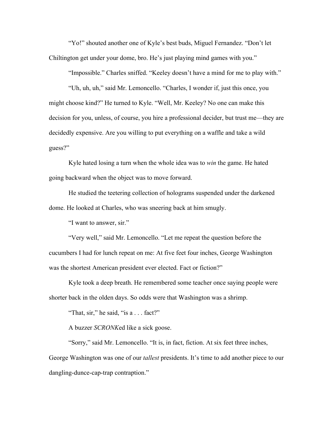"Yo!" shouted another one of Kyle's best buds, Miguel Fernandez. "Don't let Chiltington get under your dome, bro. He's just playing mind games with you."

"Impossible." Charles sniffed. "Keeley doesn't have a mind for me to play with."

"Uh, uh, uh," said Mr. Lemoncello. "Charles, I wonder if, just this once, you might choose kind?" He turned to Kyle. "Well, Mr. Keeley? No one can make this decision for you, unless, of course, you hire a professional decider, but trust me—they are decidedly expensive. Are you willing to put everything on a waffle and take a wild guess?"

Kyle hated losing a turn when the whole idea was to *win* the game. He hated going backward when the object was to move forward.

He studied the teetering collection of holograms suspended under the darkened dome. He looked at Charles, who was sneering back at him smugly.

"I want to answer, sir."

"Very well," said Mr. Lemoncello. "Let me repeat the question before the cucumbers I had for lunch repeat on me: At five feet four inches, George Washington was the shortest American president ever elected. Fact or fiction?"

Kyle took a deep breath. He remembered some teacher once saying people were shorter back in the olden days. So odds were that Washington was a shrimp.

"That, sir," he said, "is a . . . fact?"

A buzzer *SCRONK*ed like a sick goose.

"Sorry," said Mr. Lemoncello. "It is, in fact, fiction. At six feet three inches, George Washington was one of our *tallest* presidents. It's time to add another piece to our dangling-dunce-cap-trap contraption."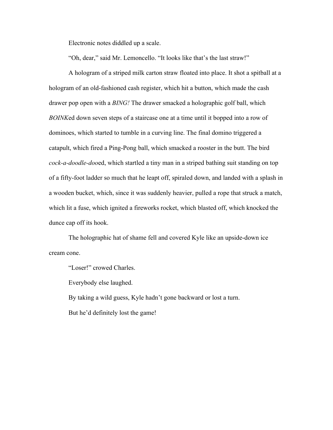Electronic notes diddled up a scale.

"Oh, dear," said Mr. Lemoncello. "It looks like that's the last straw!"

A hologram of a striped milk carton straw floated into place. It shot a spitball at a hologram of an old-fashioned cash register, which hit a button, which made the cash drawer pop open with a *BING!* The drawer smacked a holographic golf ball, which *BOINK*ed down seven steps of a staircase one at a time until it bopped into a row of dominoes, which started to tumble in a curving line. The final domino triggered a catapult, which fired a Ping-Pong ball, which smacked a rooster in the butt. The bird *cock-a-doodle-doo*ed, which startled a tiny man in a striped bathing suit standing on top of a fifty-foot ladder so much that he leapt off, spiraled down, and landed with a splash in a wooden bucket, which, since it was suddenly heavier, pulled a rope that struck a match, which lit a fuse, which ignited a fireworks rocket, which blasted off, which knocked the dunce cap off its hook.

The holographic hat of shame fell and covered Kyle like an upside-down ice cream cone.

"Loser!" crowed Charles.

Everybody else laughed.

By taking a wild guess, Kyle hadn't gone backward or lost a turn.

But he'd definitely lost the game!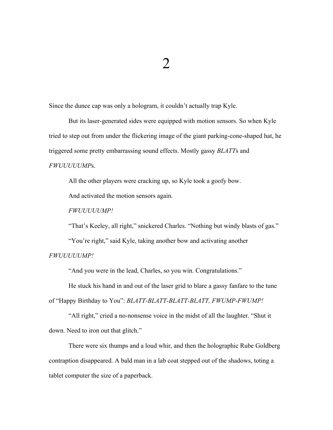Since the dunce cap was only a hologram, it couldn't actually trap Kyle.

But its laser-generated sides were equipped with motion sensors. So when Kyle tried to step out from under the flickering image of the giant parking-cone-shaped hat, he triggered some pretty embarrassing sound effects. Mostly gassy *BLATT*s and *FWUUUUUMP*s.

All the other players were cracking up, so Kyle took a goofy bow.

And activated the motion sensors again.

*FWUUUUUMP!*

"That's Keeley, all right," snickered Charles. "Nothing but windy blasts of gas."

"You're right," said Kyle, taking another bow and activating another

*FWUUUUUMP!*

"And you were in the lead, Charles, so you win. Congratulations."

He stuck his hand in and out of the laser grid to blare a gassy fanfare to the tune of "Happy Birthday to You": *BLATT-BLATT-BLATT-BLATT, FWUMP-FWUMP!*

"All right," cried a no-nonsense voice in the midst of all the laughter. "Shut it down. Need to iron out that glitch."

There were six thumps and a loud whir, and then the holographic Rube Goldberg contraption disappeared. A bald man in a lab coat stepped out of the shadows, toting a tablet computer the size of a paperback.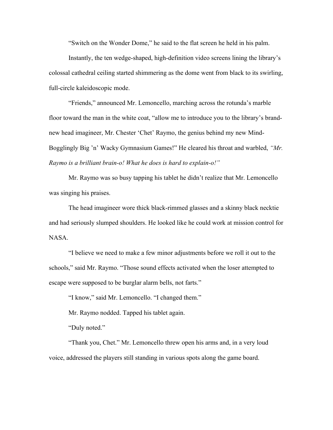"Switch on the Wonder Dome," he said to the flat screen he held in his palm.

Instantly, the ten wedge-shaped, high-definition video screens lining the library's colossal cathedral ceiling started shimmering as the dome went from black to its swirling, full-circle kaleidoscopic mode.

"Friends," announced Mr. Lemoncello, marching across the rotunda's marble floor toward the man in the white coat, "allow me to introduce you to the library's brandnew head imagineer, Mr. Chester 'Chet' Raymo, the genius behind my new Mind-Bogglingly Big 'n' Wacky Gymnasium Games!" He cleared his throat and warbled, *"Mr. Raymo is a brilliant brain-o! What he does is hard to explain-o!"*

Mr. Raymo was so busy tapping his tablet he didn't realize that Mr. Lemoncello was singing his praises.

The head imagineer wore thick black-rimmed glasses and a skinny black necktie and had seriously slumped shoulders. He looked like he could work at mission control for NASA.

"I believe we need to make a few minor adjustments before we roll it out to the schools," said Mr. Raymo. "Those sound effects activated when the loser attempted to escape were supposed to be burglar alarm bells, not farts."

"I know," said Mr. Lemoncello. "I changed them."

Mr. Raymo nodded. Tapped his tablet again.

"Duly noted."

"Thank you, Chet." Mr. Lemoncello threw open his arms and, in a very loud voice, addressed the players still standing in various spots along the game board.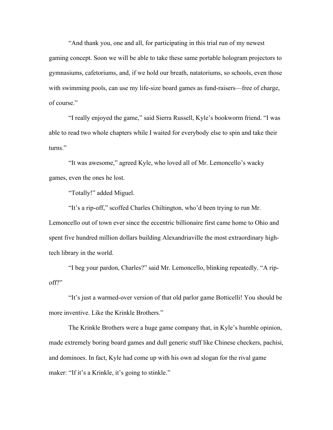"And thank you, one and all, for participating in this trial run of my newest gaming concept. Soon we will be able to take these same portable hologram projectors to gymnasiums, cafetoriums, and, if we hold our breath, natatoriums, so schools, even those with swimming pools, can use my life-size board games as fund-raisers—free of charge, of course."

"I really enjoyed the game," said Sierra Russell, Kyle's bookworm friend. "I was able to read two whole chapters while I waited for everybody else to spin and take their turns<sup>"</sup>

"It was awesome," agreed Kyle, who loved all of Mr. Lemoncello's wacky games, even the ones he lost.

"Totally!" added Miguel.

"It's a rip-off," scoffed Charles Chiltington, who'd been trying to run Mr. Lemoncello out of town ever since the eccentric billionaire first came home to Ohio and spent five hundred million dollars building Alexandriaville the most extraordinary hightech library in the world.

"I beg your pardon, Charles?" said Mr. Lemoncello, blinking repeatedly. "A ripoff?"

"It's just a warmed-over version of that old parlor game Botticelli! You should be more inventive. Like the Krinkle Brothers."

The Krinkle Brothers were a huge game company that, in Kyle's humble opinion, made extremely boring board games and dull generic stuff like Chinese checkers, pachisi, and dominoes. In fact, Kyle had come up with his own ad slogan for the rival game maker: "If it's a Krinkle, it's going to stinkle."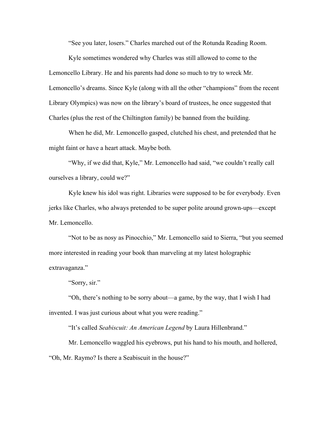"See you later, losers." Charles marched out of the Rotunda Reading Room.

Kyle sometimes wondered why Charles was still allowed to come to the Lemoncello Library. He and his parents had done so much to try to wreck Mr. Lemoncello's dreams. Since Kyle (along with all the other "champions" from the recent Library Olympics) was now on the library's board of trustees, he once suggested that Charles (plus the rest of the Chiltington family) be banned from the building.

When he did, Mr. Lemoncello gasped, clutched his chest, and pretended that he might faint or have a heart attack. Maybe both.

"Why, if we did that, Kyle," Mr. Lemoncello had said, "we couldn't really call ourselves a library, could we?"

Kyle knew his idol was right. Libraries were supposed to be for everybody. Even jerks like Charles, who always pretended to be super polite around grown-ups—except Mr. Lemoncello.

"Not to be as nosy as Pinocchio," Mr. Lemoncello said to Sierra, "but you seemed more interested in reading your book than marveling at my latest holographic extravaganza."

"Sorry, sir."

"Oh, there's nothing to be sorry about—a game, by the way, that I wish I had invented. I was just curious about what you were reading."

"It's called *Seabiscuit: An American Legend* by Laura Hillenbrand."

Mr. Lemoncello waggled his eyebrows, put his hand to his mouth, and hollered, "Oh, Mr. Raymo? Is there a Seabiscuit in the house?"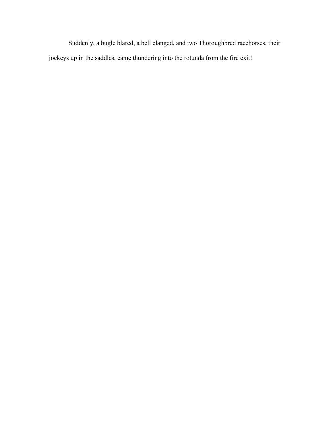Suddenly, a bugle blared, a bell clanged, and two Thoroughbred racehorses, their jockeys up in the saddles, came thundering into the rotunda from the fire exit!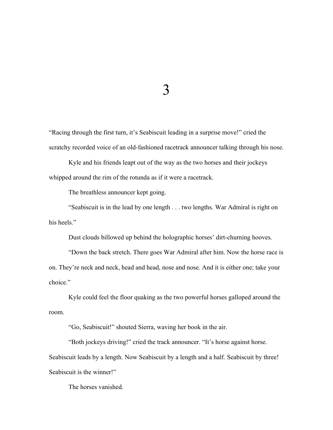3

"Racing through the first turn, it's Seabiscuit leading in a surprise move!" cried the scratchy recorded voice of an old-fashioned racetrack announcer talking through his nose.

Kyle and his friends leapt out of the way as the two horses and their jockeys whipped around the rim of the rotunda as if it were a racetrack.

The breathless announcer kept going.

"Seabiscuit is in the lead by one length . . . two lengths. War Admiral is right on his heels."

Dust clouds billowed up behind the holographic horses' dirt-churning hooves.

"Down the back stretch. There goes War Admiral after him. Now the horse race is on. They're neck and neck, head and head, nose and nose. And it is either one; take your choice."

Kyle could feel the floor quaking as the two powerful horses galloped around the room.

"Go, Seabiscuit!" shouted Sierra, waving her book in the air.

"Both jockeys driving!" cried the track announcer. "It's horse against horse. Seabiscuit leads by a length. Now Seabiscuit by a length and a half. Seabiscuit by three! Seabiscuit is the winner!"

The horses vanished.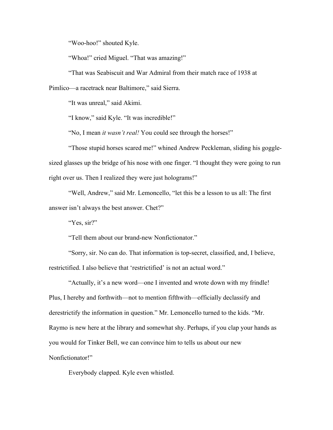"Woo-hoo!" shouted Kyle.

"Whoa!" cried Miguel. "That was amazing!"

"That was Seabiscuit and War Admiral from their match race of 1938 at

Pimlico—a racetrack near Baltimore," said Sierra.

"It was unreal," said Akimi.

"I know," said Kyle. "It was incredible!"

"No, I mean *it wasn't real!* You could see through the horses!"

"Those stupid horses scared me!" whined Andrew Peckleman, sliding his gogglesized glasses up the bridge of his nose with one finger. "I thought they were going to run right over us. Then I realized they were just holograms!"

"Well, Andrew," said Mr. Lemoncello, "let this be a lesson to us all: The first answer isn't always the best answer. Chet?"

"Yes, sir?"

"Tell them about our brand-new Nonfictionator."

"Sorry, sir. No can do. That information is top-secret, classified, and, I believe, restrictified. I also believe that 'restrictified' is not an actual word."

"Actually, it's a new word—one I invented and wrote down with my frindle! Plus, I hereby and forthwith—not to mention fifthwith—officially declassify and derestrictify the information in question." Mr. Lemoncello turned to the kids. "Mr. Raymo is new here at the library and somewhat shy. Perhaps, if you clap your hands as you would for Tinker Bell, we can convince him to tells us about our new Nonfictionator!"

Everybody clapped. Kyle even whistled.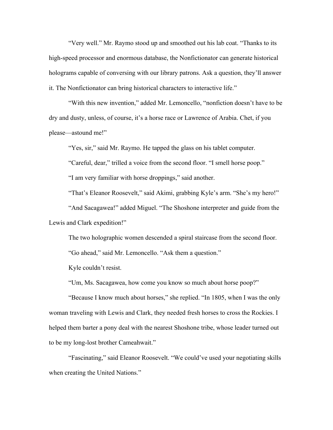"Very well." Mr. Raymo stood up and smoothed out his lab coat. "Thanks to its high-speed processor and enormous database, the Nonfictionator can generate historical holograms capable of conversing with our library patrons. Ask a question, they'll answer it. The Nonfictionator can bring historical characters to interactive life."

"With this new invention," added Mr. Lemoncello, "nonfiction doesn't have to be dry and dusty, unless, of course, it's a horse race or Lawrence of Arabia. Chet, if you please—astound me!"

"Yes, sir," said Mr. Raymo. He tapped the glass on his tablet computer.

"Careful, dear," trilled a voice from the second floor. "I smell horse poop."

"I am very familiar with horse droppings," said another.

"That's Eleanor Roosevelt," said Akimi, grabbing Kyle's arm. "She's my hero!"

"And Sacagawea!" added Miguel. "The Shoshone interpreter and guide from the Lewis and Clark expedition!"

The two holographic women descended a spiral staircase from the second floor.

"Go ahead," said Mr. Lemoncello. "Ask them a question."

Kyle couldn't resist.

"Um, Ms. Sacagawea, how come you know so much about horse poop?"

"Because I know much about horses," she replied. "In 1805, when I was the only woman traveling with Lewis and Clark, they needed fresh horses to cross the Rockies. I helped them barter a pony deal with the nearest Shoshone tribe, whose leader turned out to be my long-lost brother Cameahwait."

"Fascinating," said Eleanor Roosevelt. "We could've used your negotiating skills when creating the United Nations."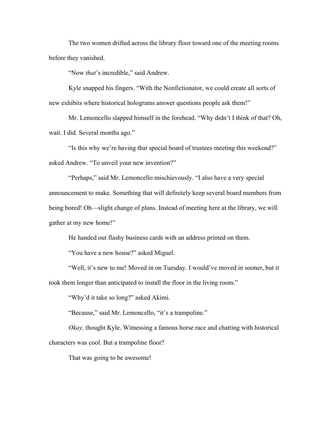The two women drifted across the library floor toward one of the meeting rooms before they vanished.

"Now *that*'s incredible," said Andrew.

Kyle snapped his fingers. "With the Nonfictionator, we could create all sorts of new exhibits where historical holograms answer questions people ask them!"

Mr. Lemoncello slapped himself in the forehead. "Why didn't I think of that? Oh, wait. I did. Several months ago."

"Is this why we're having that special board of trustees meeting this weekend?" asked Andrew. "To unveil your new invention?"

"Perhaps," said Mr. Lemoncello mischievously. "I also have a very special announcement to make. Something that will definitely keep several board members from being bored! Oh—slight change of plans. Instead of meeting here at the library, we will gather at my new home!"

He handed out flashy business cards with an address printed on them.

"You have a new house?" asked Miguel.

"Well, it's new to me! Moved in on Tuesday. I would've moved in sooner, but it took them longer than anticipated to install the floor in the living room."

"Why'd it take so long?" asked Akimi.

"Because," said Mr. Lemoncello, "it's a trampoline."

*Okay,* thought Kyle. Witnessing a famous horse race and chatting with historical characters was cool. But a trampoline floor?

That was going to be awesome!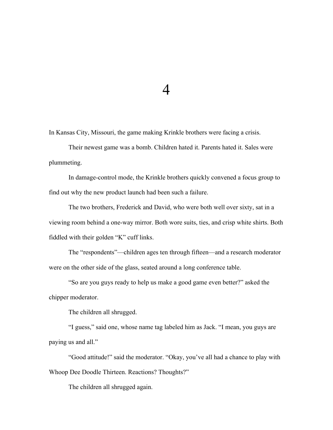## 4

In Kansas City, Missouri, the game making Krinkle brothers were facing a crisis.

Their newest game was a bomb. Children hated it. Parents hated it. Sales were plummeting.

In damage-control mode, the Krinkle brothers quickly convened a focus group to find out why the new product launch had been such a failure.

The two brothers, Frederick and David, who were both well over sixty, sat in a viewing room behind a one-way mirror. Both wore suits, ties, and crisp white shirts. Both fiddled with their golden "K" cuff links.

The "respondents"—children ages ten through fifteen—and a research moderator were on the other side of the glass, seated around a long conference table.

"So are you guys ready to help us make a good game even better?" asked the chipper moderator.

The children all shrugged.

"I guess," said one, whose name tag labeled him as Jack. "I mean, you guys are paying us and all."

"Good attitude!" said the moderator. "Okay, you've all had a chance to play with Whoop Dee Doodle Thirteen. Reactions? Thoughts?"

The children all shrugged again.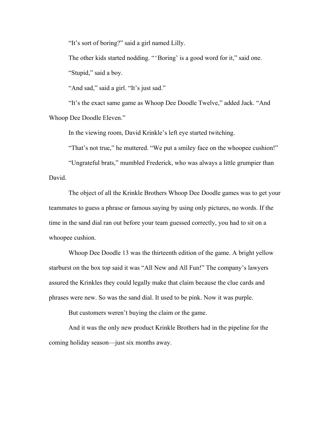"It's sort of boring?" said a girl named Lilly.

The other kids started nodding. "'Boring' is a good word for it," said one. "Stupid," said a boy.

"And sad," said a girl. "It's just sad."

"It's the exact same game as Whoop Dee Doodle Twelve," added Jack. "And Whoop Dee Doodle Eleven."

In the viewing room, David Krinkle's left eye started twitching.

"That's not true," he muttered. "We put a smiley face on the whoopee cushion!"

"Ungrateful brats," mumbled Frederick, who was always a little grumpier than **David.** 

The object of all the Krinkle Brothers Whoop Dee Doodle games was to get your teammates to guess a phrase or famous saying by using only pictures, no words. If the time in the sand dial ran out before your team guessed correctly, you had to sit on a whoopee cushion.

Whoop Dee Doodle 13 was the thirteenth edition of the game. A bright yellow starburst on the box top said it was "All New and All Fun!" The company's lawyers assured the Krinkles they could legally make that claim because the clue cards and phrases were new. So was the sand dial. It used to be pink. Now it was purple.

But customers weren't buying the claim or the game.

And it was the only new product Krinkle Brothers had in the pipeline for the coming holiday season—just six months away.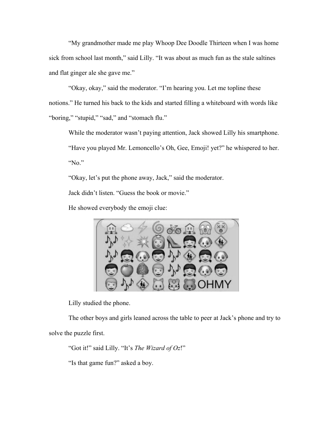"My grandmother made me play Whoop Dee Doodle Thirteen when I was home sick from school last month," said Lilly. "It was about as much fun as the stale saltines and flat ginger ale she gave me."

"Okay, okay," said the moderator. "I'm hearing you. Let me topline these notions." He turned his back to the kids and started filling a whiteboard with words like "boring," "stupid," "sad," and "stomach flu."

While the moderator wasn't paying attention, Jack showed Lilly his smartphone. "Have you played Mr. Lemoncello's Oh, Gee, Emoji! yet?" he whispered to her. "No."

"Okay, let's put the phone away, Jack," said the moderator.

Jack didn't listen. "Guess the book or movie."

He showed everybody the emoji clue:



Lilly studied the phone.

The other boys and girls leaned across the table to peer at Jack's phone and try to solve the puzzle first.

"Got it!" said Lilly. "It's *The Wizard of Oz*!"

"Is that game fun?" asked a boy.